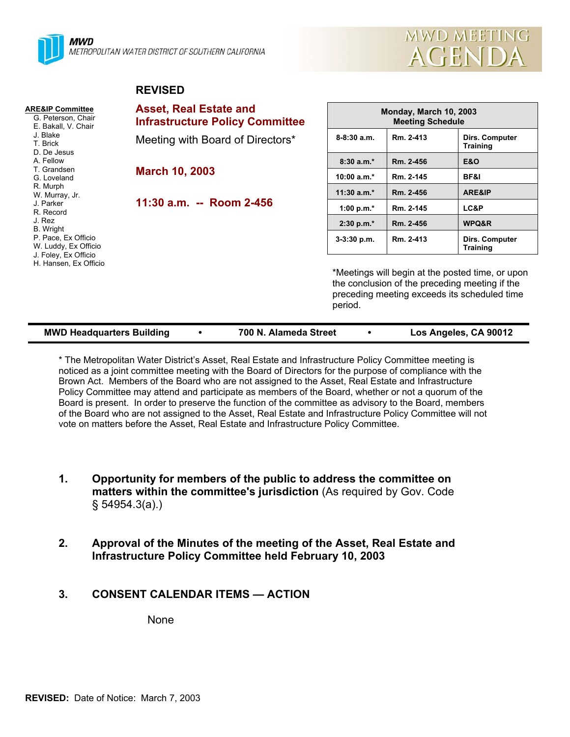



### **REVISED**

| <b>ARE&amp;IP Committee</b><br>G. Peterson, Chair<br>E. Bakall, V. Chair                        | <b>Asset, Real Estate and</b><br><b>Infrastructure Policy Committee</b> | Monday, March 10, 2003<br><b>Meeting Schedule</b>                                                                                                             |           |                                          |  |
|-------------------------------------------------------------------------------------------------|-------------------------------------------------------------------------|---------------------------------------------------------------------------------------------------------------------------------------------------------------|-----------|------------------------------------------|--|
| J. Blake<br>T. Brick<br>D. De Jesus                                                             | Meeting with Board of Directors*                                        | $8-8:30$ a.m.                                                                                                                                                 | Rm. 2-413 | <b>Dirs. Computer</b><br><b>Training</b> |  |
| A. Fellow<br>T. Grandsen<br>G. Loveland<br>R. Murph<br>W. Murray, Jr.<br>J. Parker<br>R. Record | <b>March 10, 2003</b>                                                   | $8:30a.m.*$                                                                                                                                                   | Rm. 2-456 | <b>E&amp;O</b>                           |  |
|                                                                                                 |                                                                         | $10:00 a.m.*$                                                                                                                                                 | Rm. 2-145 | BF&I                                     |  |
|                                                                                                 | 11:30 a.m. -- Room 2-456                                                | $11:30$ a.m.*                                                                                                                                                 | Rm. 2-456 | ARE&IP                                   |  |
|                                                                                                 |                                                                         | 1:00 p.m. $*$                                                                                                                                                 | Rm. 2-145 | LC&P                                     |  |
| J. Rez<br>B. Wright                                                                             |                                                                         | $2:30 p.m.*$                                                                                                                                                  | Rm. 2-456 | WPQ&R                                    |  |
| P. Pace, Ex Officio<br>W. Luddy, Ex Officio<br>J. Foley, Ex Officio<br>H. Hansen, Ex Officio    |                                                                         | $3-3:30$ p.m.                                                                                                                                                 | Rm. 2-413 | Dirs. Computer<br><b>Training</b>        |  |
|                                                                                                 |                                                                         | *Meetings will begin at the posted time, or upon<br>the conclusion of the preceding meeting if the<br>preceding meeting exceeds its scheduled time<br>period. |           |                                          |  |

| <b>MWD Headquarters Building</b> |  | 700 N. Alameda Street |  | Los Angeles, CA 90012 |
|----------------------------------|--|-----------------------|--|-----------------------|
|----------------------------------|--|-----------------------|--|-----------------------|

\* The Metropolitan Water District's Asset, Real Estate and Infrastructure Policy Committee meeting is noticed as a joint committee meeting with the Board of Directors for the purpose of compliance with the Brown Act. Members of the Board who are not assigned to the Asset, Real Estate and Infrastructure Policy Committee may attend and participate as members of the Board, whether or not a quorum of the Board is present. In order to preserve the function of the committee as advisory to the Board, members of the Board who are not assigned to the Asset, Real Estate and Infrastructure Policy Committee will not vote on matters before the Asset, Real Estate and Infrastructure Policy Committee.

- **1. Opportunity for members of the public to address the committee on matters within the committee's jurisdiction** (As required by Gov. Code § 54954.3(a).)
- **2. Approval of the Minutes of the meeting of the Asset, Real Estate and Infrastructure Policy Committee held February 10, 2003**
- **3. CONSENT CALENDAR ITEMS ACTION**

None